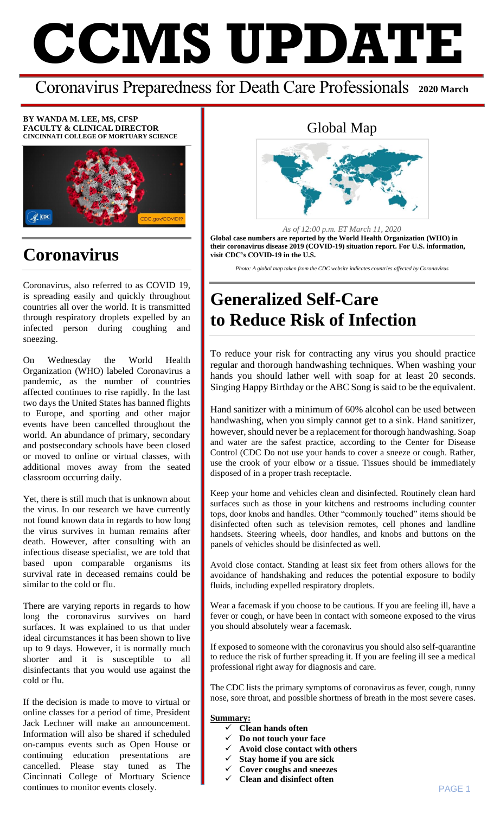# **CCMS UPDATE**

#### Coronavirus Preparedness for Death Care Professionals **2020 March**

**BY WANDA M. LEE, MS, CFSP FACULTY & CLINICAL DIRECTOR CINCINNATI COLLEGE OF MORTUARY SCIENCE**



#### **Coronavirus**

Coronavirus, also referred to as COVID 19, is spreading easily and quickly throughout countries all over the world. It is transmitted through respiratory droplets expelled by an infected person during coughing and sneezing.

On Wednesday the World Health Organization (WHO) labeled Coronavirus a pandemic, as the number of countries affected continues to rise rapidly. In the last two days the United States has banned flights to Europe, and sporting and other major events have been cancelled throughout the world. An abundance of primary, secondary and postsecondary schools have been closed or moved to online or virtual classes, with additional moves away from the seated classroom occurring daily.

Yet, there is still much that is unknown about the virus. In our research we have currently not found known data in regards to how long the virus survives in human remains after death. However, after consulting with an infectious disease specialist, we are told that based upon comparable organisms its survival rate in deceased remains could be similar to the cold or flu.

There are varying reports in regards to how long the coronavirus survives on hard surfaces. It was explained to us that under ideal circumstances it has been shown to live up to 9 days. However, it is normally much shorter and it is susceptible to all disinfectants that you would use against the cold or flu.

If the decision is made to move to virtual or online classes for a period of time, President Jack Lechner will make an announcement. Information will also be shared if scheduled on-campus events such as Open House or continuing education presentations are cancelled. Please stay tuned as The Cincinnati College of Mortuary Science continues to monitor events closely.

#### Global Map



*As of 12:00 p.m. ET March 11, 2020* **Global case numbers are reported by the World Health Organization (WHO) in their coronavirus disease 2019 (COVID-19) situation report. For U.S. information, visit CDC's COVID-19 in the U.S.**

*Photo: A global map taken from the CDC website indicates countries affected by Coronavirus*

# **Generalized Self-Care to Reduce Risk of Infection**

To reduce your risk for contracting any virus you should practice regular and thorough handwashing techniques. When washing your hands you should lather well with soap for at least 20 seconds. Singing Happy Birthday or the ABC Song is said to be the equivalent.

Hand sanitizer with a minimum of 60% alcohol can be used between handwashing, when you simply cannot get to a sink. Hand sanitizer, however, should never be a replacement for thorough handwashing. Soap and water are the safest practice, according to the Center for Disease Control (CDC Do not use your hands to cover a sneeze or cough. Rather, use the crook of your elbow or a tissue. Tissues should be immediately disposed of in a proper trash receptacle.

Keep your home and vehicles clean and disinfected. Routinely clean hard surfaces such as those in your kitchens and restrooms including counter tops, door knobs and handles. Other "commonly touched" items should be disinfected often such as television remotes, cell phones and landline handsets. Steering wheels, door handles, and knobs and buttons on the panels of vehicles should be disinfected as well.

Avoid close contact. Standing at least six feet from others allows for the avoidance of handshaking and reduces the potential exposure to bodily fluids, including expelled respiratory droplets.

Wear a facemask if you choose to be cautious. If you are feeling ill, have a fever or cough, or have been in contact with someone exposed to the virus you should absolutely wear a facemask.

If exposed to someone with the coronavirus you should also self-quarantine to reduce the risk of further spreading it. If you are feeling ill see a medical professional right away for diagnosis and care.

The CDC lists the primary symptoms of coronavirus as fever, cough, runny nose, sore throat, and possible shortness of breath in the most severe cases.

#### **Summary:**

- **Clean hands often**
- **Do not touch your face**
- **Avoid close contact with others**
- **Stay home if you are sick**
- **Cover coughs and sneezes**
- **Clean and disinfect often**